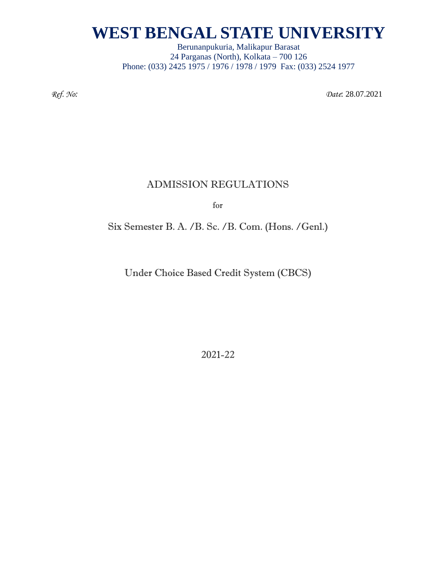Berunanpukuria, Malikapur Barasat 24 Parganas (North), Kolkata – 700 126 Phone: (033) 2425 1975 / 1976 / 1978 / 1979 Fax: (033) 2524 1977

*Ref. No: Date*: 28.07.2021

### ADMISSION REGULATIONS

for

Six Semester B. A. /B. Sc. /B. Com. (Hons. /Genl.)

Under Choice Based Credit System (CBCS)

2021-22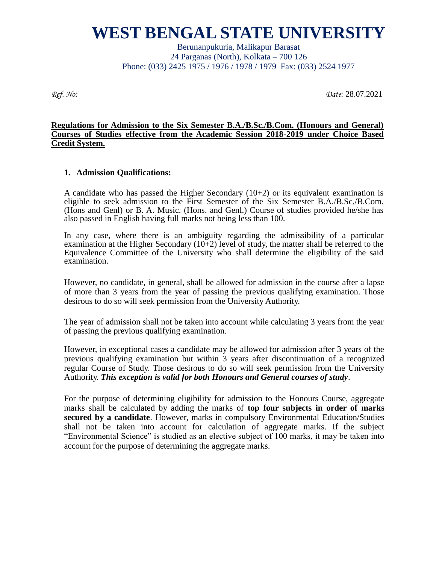Berunanpukuria, Malikapur Barasat 24 Parganas (North), Kolkata – 700 126 Phone: (033) 2425 1975 / 1976 / 1978 / 1979 Fax: (033) 2524 1977

*Ref. No: Date*: 28.07.2021

#### **Regulations for Admission to the Six Semester B.A./B.Sc./B.Com. (Honours and General) Courses of Studies effective from the Academic Session 2018-2019 under Choice Based Credit System.**

#### **1. Admission Qualifications:**

A candidate who has passed the Higher Secondary  $(10+2)$  or its equivalent examination is eligible to seek admission to the First Semester of the Six Semester B.A./B.Sc./B.Com. (Hons and Genl) or B. A. Music. (Hons. and Genl.) Course of studies provided he/she has also passed in English having full marks not being less than 100.

In any case, where there is an ambiguity regarding the admissibility of a particular examination at the Higher Secondary  $(10+2)$  level of study, the matter shall be referred to the Equivalence Committee of the University who shall determine the eligibility of the said examination.

However, no candidate, in general, shall be allowed for admission in the course after a lapse of more than 3 years from the year of passing the previous qualifying examination. Those desirous to do so will seek permission from the University Authority.

The year of admission shall not be taken into account while calculating 3 years from the year of passing the previous qualifying examination.

However, in exceptional cases a candidate may be allowed for admission after 3 years of the previous qualifying examination but within 3 years after discontinuation of a recognized regular Course of Study. Those desirous to do so will seek permission from the University Authority. *This exception is valid for both Honours and General courses of study*.

For the purpose of determining eligibility for admission to the Honours Course, aggregate marks shall be calculated by adding the marks of **top four subjects in order of marks secured by a candidate**. However, marks in compulsory Environmental Education/Studies shall not be taken into account for calculation of aggregate marks. If the subject "Environmental Science" is studied as an elective subject of 100 marks, it may be taken into account for the purpose of determining the aggregate marks.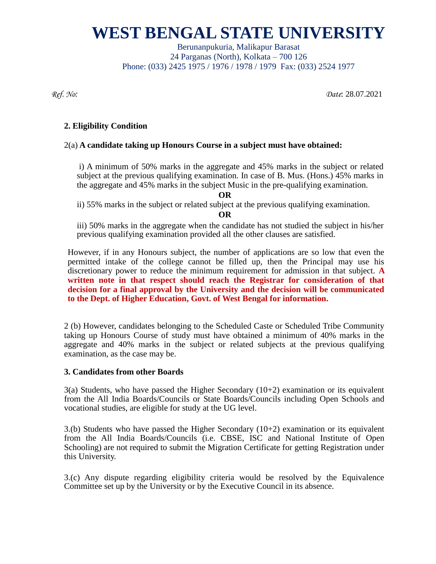Berunanpukuria, Malikapur Barasat 24 Parganas (North), Kolkata – 700 126 Phone: (033) 2425 1975 / 1976 / 1978 / 1979 Fax: (033) 2524 1977

*Ref. No: Date*: 28.07.2021

### **2. Eligibility Condition**

### 2(a) **A candidate taking up Honours Course in a subject must have obtained:**

i) A minimum of 50% marks in the aggregate and 45% marks in the subject or related subject at the previous qualifying examination. In case of B. Mus. (Hons.) 45% marks in the aggregate and 45% marks in the subject Music in the pre-qualifying examination.

**OR**

ii) 55% marks in the subject or related subject at the previous qualifying examination.

**OR**

iii) 50% marks in the aggregate when the candidate has not studied the subject in his/her previous qualifying examination provided all the other clauses are satisfied.

However, if in any Honours subject, the number of applications are so low that even the permitted intake of the college cannot be filled up, then the Principal may use his discretionary power to reduce the minimum requirement for admission in that subject. **A written note in that respect should reach the Registrar for consideration of that decision for a final approval by the University and the decision will be communicated to the Dept. of Higher Education, Govt. of West Bengal for information.** 

2 (b) However, candidates belonging to the Scheduled Caste or Scheduled Tribe Community taking up Honours Course of study must have obtained a minimum of 40% marks in the aggregate and 40% marks in the subject or related subjects at the previous qualifying examination, as the case may be.

#### **3. Candidates from other Boards**

 $3(a)$  Students, who have passed the Higher Secondary (10+2) examination or its equivalent from the All India Boards/Councils or State Boards/Councils including Open Schools and vocational studies, are eligible for study at the UG level.

 $3.6$ ) Students who have passed the Higher Secondary (10+2) examination or its equivalent from the All India Boards/Councils (i.e. CBSE, ISC and National Institute of Open Schooling) are not required to submit the Migration Certificate for getting Registration under this University.

3.(c) Any dispute regarding eligibility criteria would be resolved by the Equivalence Committee set up by the University or by the Executive Council in its absence.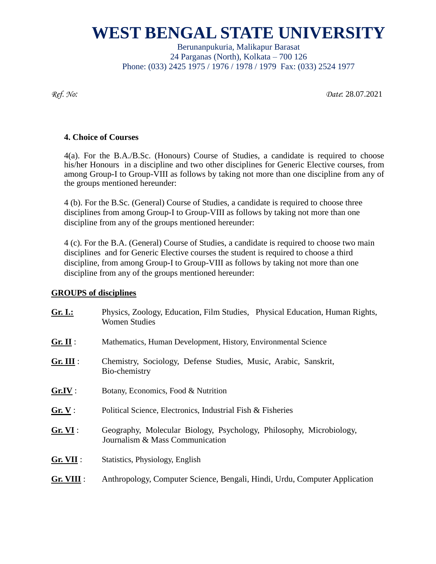Berunanpukuria, Malikapur Barasat 24 Parganas (North), Kolkata – 700 126 Phone: (033) 2425 1975 / 1976 / 1978 / 1979 Fax: (033) 2524 1977

*Ref. No: Date*: 28.07.2021

### **4. Choice of Courses**

4(a). For the B.A./B.Sc. (Honours) Course of Studies, a candidate is required to choose his/her Honours in a discipline and two other disciplines for Generic Elective courses, from among Group-I to Group-VIII as follows by taking not more than one discipline from any of the groups mentioned hereunder:

4 (b). For the B.Sc. (General) Course of Studies, a candidate is required to choose three disciplines from among Group-I to Group-VIII as follows by taking not more than one discipline from any of the groups mentioned hereunder:

4 (c). For the B.A. (General) Course of Studies, a candidate is required to choose two main disciplines and for Generic Elective courses the student is required to choose a third discipline, from among Group-I to Group-VIII as follows by taking not more than one discipline from any of the groups mentioned hereunder:

### **GROUPS of disciplines**

| Gr. I.:     | Physics, Zoology, Education, Film Studies, Physical Education, Human Rights,<br><b>Women Studies</b>   |  |  |  |  |  |
|-------------|--------------------------------------------------------------------------------------------------------|--|--|--|--|--|
| Gr. II:     | Mathematics, Human Development, History, Environmental Science                                         |  |  |  |  |  |
| $Gr. III$ : | Chemistry, Sociology, Defense Studies, Music, Arabic, Sanskrit,<br>Bio-chemistry                       |  |  |  |  |  |
| Gr.IV:      | Botany, Economics, Food & Nutrition                                                                    |  |  |  |  |  |
| Gr. V:      | Political Science, Electronics, Industrial Fish & Fisheries                                            |  |  |  |  |  |
| Gr. VI:     | Geography, Molecular Biology, Psychology, Philosophy, Microbiology,<br>Journalism & Mass Communication |  |  |  |  |  |
| Gr. VII:    | Statistics, Physiology, English                                                                        |  |  |  |  |  |
| Gr. VIII :  | Anthropology, Computer Science, Bengali, Hindi, Urdu, Computer Application                             |  |  |  |  |  |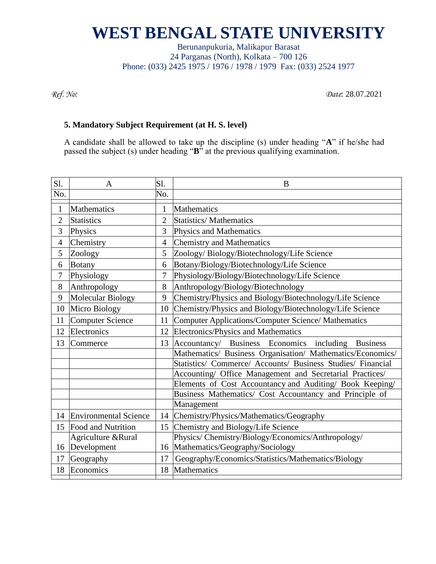Berunanpukuria, Malikapur Barasat 24 Parganas (North), Kolkata – 700 126 Phone: (033) 2425 1975 / 1976 / 1978 / 1979 Fax: (033) 2524 1977

*Ref. No: Date*: 28.07.2021

### **5. Mandatory Subject Requirement (at H. S. level)**

A candidate shall be allowed to take up the discipline (s) under heading "**A**" if he/she had passed the subject (s) under heading "**B**" at the previous qualifying examination.

| Sl.            | A                            | S1.            | B                                                           |
|----------------|------------------------------|----------------|-------------------------------------------------------------|
| No.            |                              | No.            |                                                             |
| 1              | Mathematics                  | $\mathbf{1}$   | Mathematics                                                 |
| $\overline{2}$ | Statistics                   | $\overline{2}$ | <b>Statistics/Mathematics</b>                               |
| 3              | Physics                      | 3              | Physics and Mathematics                                     |
| $\overline{4}$ | Chemistry                    | $\overline{4}$ | Chemistry and Mathematics                                   |
| 5              | Zoology                      | 5              | Zoology/Biology/Biotechnology/Life Science                  |
| 6              | Botany                       | 6              | Botany/Biology/Biotechnology/Life Science                   |
| 7              | Physiology                   | 7              | Physiology/Biology/Biotechnology/Life Science               |
| 8              | Anthropology                 | 8              | Anthropology/Biology/Biotechnology                          |
| 9              | Molecular Biology            | 9              | Chemistry/Physics and Biology/Biotechnology/Life Science    |
| 10             | Micro Biology                | 10             | Chemistry/Physics and Biology/Biotechnology/Life Science    |
| 11             | <b>Computer Science</b>      | 11             | Computer Applications/Computer Science/ Mathematics         |
| 12             | Electronics                  | 12             | Electronics/Physics and Mathematics                         |
| 13             | Commerce                     | 13             | Accountancy/ Business Economics<br>including Business       |
|                |                              |                | Mathematics/ Business Organisation/ Mathematics/Economics/  |
|                |                              |                | Statistics/ Commerce/ Accounts/ Business Studies/ Financial |
|                |                              |                | Accounting/ Office Management and Secretarial Practices/    |
|                |                              |                | Elements of Cost Accountancy and Auditing/ Book Keeping/    |
|                |                              |                | Business Mathematics/ Cost Accountancy and Principle of     |
|                |                              |                | Management                                                  |
| 14             | <b>Environmental Science</b> |                | 14 Chemistry/Physics/Mathematics/Geography                  |
| 15             | Food and Nutrition           |                | 15 Chemistry and Biology/Life Science                       |
|                | Agriculture &Rural           |                | Physics/Chemistry/Biology/Economics/Anthropology/           |
| 16             | Development                  | 16             | Mathematics/Geography/Sociology                             |
| 17             | Geography                    | 17             | Geography/Economics/Statistics/Mathematics/Biology          |
| 18             | Economics                    | 18             | Mathematics                                                 |
|                |                              |                |                                                             |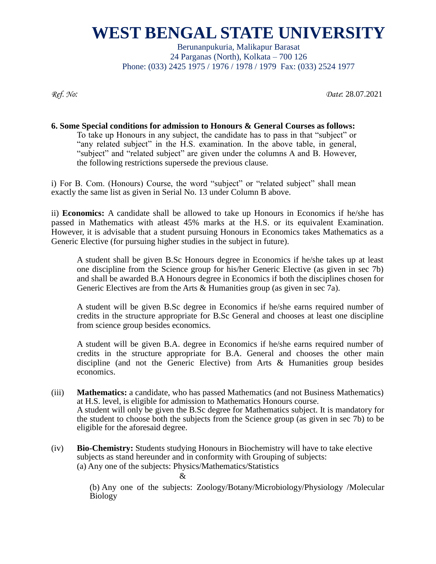Berunanpukuria, Malikapur Barasat 24 Parganas (North), Kolkata – 700 126 Phone: (033) 2425 1975 / 1976 / 1978 / 1979 Fax: (033) 2524 1977

*Ref. No: Date*: 28.07.2021

#### **6. Some Special conditions for admission to Honours & General Courses as follows:** To take up Honours in any subject, the candidate has to pass in that "subject" or "any related subject" in the H.S. examination. In the above table, in general, "subject" and "related subject" are given under the columns A and B. However, the following restrictions supersede the previous clause.

i) For B. Com. (Honours) Course, the word "subject" or "related subject" shall mean exactly the same list as given in Serial No. 13 under Column B above.

ii) **Economics:** A candidate shall be allowed to take up Honours in Economics if he/she has passed in Mathematics with atleast 45% marks at the H.S. or its equivalent Examination. However, it is advisable that a student pursuing Honours in Economics takes Mathematics as a Generic Elective (for pursuing higher studies in the subject in future).

A student shall be given B.Sc Honours degree in Economics if he/she takes up at least one discipline from the Science group for his/her Generic Elective (as given in sec 7b) and shall be awarded B.A Honours degree in Economics if both the disciplines chosen for Generic Electives are from the Arts & Humanities group (as given in sec 7a).

A student will be given B.Sc degree in Economics if he/she earns required number of credits in the structure appropriate for B.Sc General and chooses at least one discipline from science group besides economics.

A student will be given B.A. degree in Economics if he/she earns required number of credits in the structure appropriate for B.A. General and chooses the other main discipline (and not the Generic Elective) from Arts & Humanities group besides economics.

- (iii) **Mathematics:** a candidate, who has passed Mathematics (and not Business Mathematics) at H.S. level, is eligible for admission to Mathematics Honours course. A student will only be given the B.Sc degree for Mathematics subject. It is mandatory for the student to choose both the subjects from the Science group (as given in sec 7b) to be eligible for the aforesaid degree.
- (iv) **Bio-Chemistry:** Students studying Honours in Biochemistry will have to take elective subjects as stand hereunder and in conformity with Grouping of subjects: (a) Any one of the subjects: Physics/Mathematics/Statistics

 $\mathcal{R}_{\mathcal{L}}$ 

(b) Any one of the subjects: Zoology/Botany/Microbiology/Physiology /Molecular Biology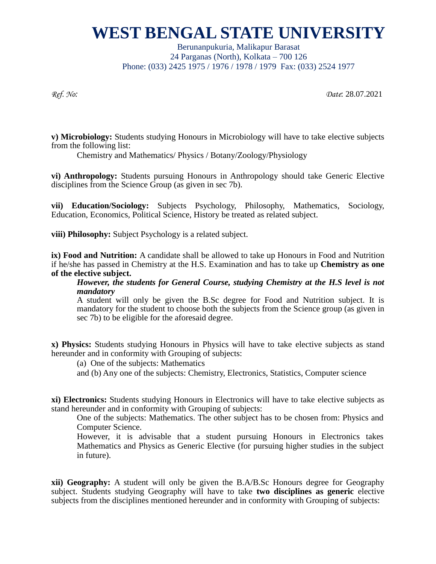Berunanpukuria, Malikapur Barasat 24 Parganas (North), Kolkata – 700 126 Phone: (033) 2425 1975 / 1976 / 1978 / 1979 Fax: (033) 2524 1977

*Ref. No: Date*: 28.07.2021

**v) Microbiology:** Students studying Honours in Microbiology will have to take elective subjects from the following list:

Chemistry and Mathematics/ Physics / Botany/Zoology/Physiology

**vi) Anthropology:** Students pursuing Honours in Anthropology should take Generic Elective disciplines from the Science Group (as given in sec 7b).

**vii) Education/Sociology:** Subjects Psychology, Philosophy, Mathematics, Sociology, Education, Economics, Political Science, History be treated as related subject.

**viii) Philosophy:** Subject Psychology is a related subject.

**ix) Food and Nutrition:** A candidate shall be allowed to take up Honours in Food and Nutrition if he/she has passed in Chemistry at the H.S. Examination and has to take up **Chemistry as one of the elective subject.**

*However, the students for General Course, studying Chemistry at the H.S level is not mandatory*

A student will only be given the B.Sc degree for Food and Nutrition subject. It is mandatory for the student to choose both the subjects from the Science group (as given in sec 7b) to be eligible for the aforesaid degree.

**x) Physics:** Students studying Honours in Physics will have to take elective subjects as stand hereunder and in conformity with Grouping of subjects:

(a) One of the subjects: Mathematics

and (b) Any one of the subjects: Chemistry, Electronics, Statistics, Computer science

**xi) Electronics:** Students studying Honours in Electronics will have to take elective subjects as stand hereunder and in conformity with Grouping of subjects:

One of the subjects: Mathematics. The other subject has to be chosen from: Physics and Computer Science.

However, it is advisable that a student pursuing Honours in Electronics takes Mathematics and Physics as Generic Elective (for pursuing higher studies in the subject in future).

**xii) Geography:** A student will only be given the B.A/B.Sc Honours degree for Geography subject. Students studying Geography will have to take **two disciplines as generic** elective subjects from the disciplines mentioned hereunder and in conformity with Grouping of subjects: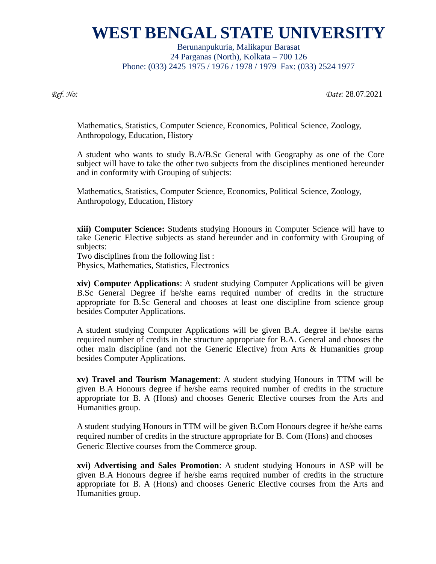Berunanpukuria, Malikapur Barasat 24 Parganas (North), Kolkata – 700 126 Phone: (033) 2425 1975 / 1976 / 1978 / 1979 Fax: (033) 2524 1977

*Ref. No: Date*: 28.07.2021

Mathematics, Statistics, Computer Science, Economics, Political Science, Zoology, Anthropology, Education, History

A student who wants to study B.A/B.Sc General with Geography as one of the Core subject will have to take the other two subjects from the disciplines mentioned hereunder and in conformity with Grouping of subjects:

Mathematics, Statistics, Computer Science, Economics, Political Science, Zoology, Anthropology, Education, History

**xiii) Computer Science:** Students studying Honours in Computer Science will have to take Generic Elective subjects as stand hereunder and in conformity with Grouping of subjects:

Two disciplines from the following list : Physics, Mathematics, Statistics, Electronics

**xiv) Computer Applications**: A student studying Computer Applications will be given B.Sc General Degree if he/she earns required number of credits in the structure appropriate for B.Sc General and chooses at least one discipline from science group besides Computer Applications.

A student studying Computer Applications will be given B.A. degree if he/she earns required number of credits in the structure appropriate for B.A. General and chooses the other main discipline (and not the Generic Elective) from Arts & Humanities group besides Computer Applications.

**xv) Travel and Tourism Management**: A student studying Honours in TTM will be given B.A Honours degree if he/she earns required number of credits in the structure appropriate for B. A (Hons) and chooses Generic Elective courses from the Arts and Humanities group.

A student studying Honours in TTM will be given B.Com Honours degree if he/she earns required number of credits in the structure appropriate for B. Com (Hons) and chooses Generic Elective courses from the Commerce group.

**xvi) Advertising and Sales Promotion**: A student studying Honours in ASP will be given B.A Honours degree if he/she earns required number of credits in the structure appropriate for B. A (Hons) and chooses Generic Elective courses from the Arts and Humanities group.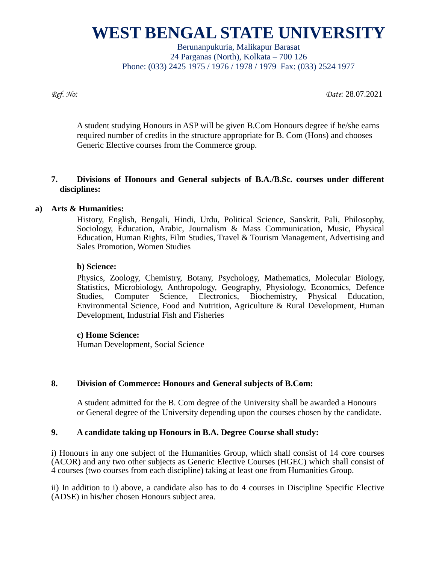Berunanpukuria, Malikapur Barasat 24 Parganas (North), Kolkata – 700 126 Phone: (033) 2425 1975 / 1976 / 1978 / 1979 Fax: (033) 2524 1977

*Ref. No: Date*: 28.07.2021

A student studying Honours in ASP will be given B.Com Honours degree if he/she earns required number of credits in the structure appropriate for B. Com (Hons) and chooses Generic Elective courses from the Commerce group.

### **7. Divisions of Honours and General subjects of B.A./B.Sc. courses under different disciplines:**

### **a) Arts & Humanities:**

History, English, Bengali, Hindi, Urdu, Political Science, Sanskrit, Pali, Philosophy, Sociology, Education, Arabic, Journalism & Mass Communication, Music, Physical Education, Human Rights, Film Studies, Travel & Tourism Management, Advertising and Sales Promotion, Women Studies

#### **b) Science:**

Physics, Zoology, Chemistry, Botany, Psychology, Mathematics, Molecular Biology, Statistics, Microbiology, Anthropology, Geography, Physiology, Economics, Defence Studies, Computer Science, Electronics, Biochemistry, Physical Education, Environmental Science, Food and Nutrition, Agriculture & Rural Development, Human Development, Industrial Fish and Fisheries

#### **c) Home Science:**

Human Development, Social Science

#### **8. Division of Commerce: Honours and General subjects of B.Com:**

A student admitted for the B. Com degree of the University shall be awarded a Honours or General degree of the University depending upon the courses chosen by the candidate.

#### **9. A candidate taking up Honours in B.A. Degree Course shall study:**

i) Honours in any one subject of the Humanities Group, which shall consist of 14 core courses (ACOR) and any two other subjects as Generic Elective Courses (HGEC) which shall consist of 4 courses (two courses from each discipline) taking at least one from Humanities Group.

ii) In addition to i) above, a candidate also has to do 4 courses in Discipline Specific Elective (ADSE) in his/her chosen Honours subject area.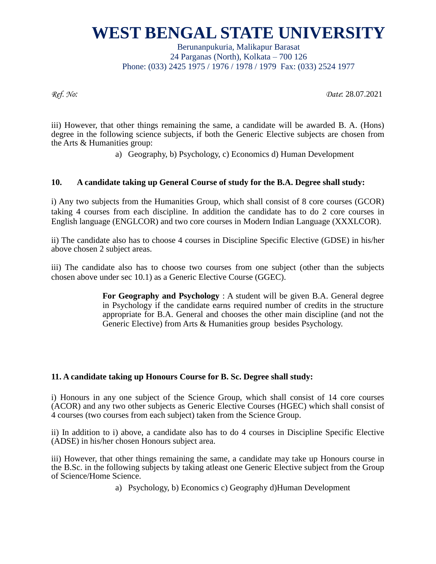Berunanpukuria, Malikapur Barasat 24 Parganas (North), Kolkata – 700 126 Phone: (033) 2425 1975 / 1976 / 1978 / 1979 Fax: (033) 2524 1977

*Ref. No: Date*: 28.07.2021

iii) However, that other things remaining the same, a candidate will be awarded B. A. (Hons) degree in the following science subjects, if both the Generic Elective subjects are chosen from the Arts & Humanities group:

a) Geography, b) Psychology, c) Economics d) Human Development

### **10. A candidate taking up General Course of study for the B.A. Degree shall study:**

i) Any two subjects from the Humanities Group, which shall consist of 8 core courses (GCOR) taking 4 courses from each discipline. In addition the candidate has to do 2 core courses in English language (ENGLCOR) and two core courses in Modern Indian Language (XXXLCOR).

ii) The candidate also has to choose 4 courses in Discipline Specific Elective (GDSE) in his/her above chosen 2 subject areas.

iii) The candidate also has to choose two courses from one subject (other than the subjects chosen above under sec 10.1) as a Generic Elective Course (GGEC).

> **For Geography and Psychology** : A student will be given B.A. General degree in Psychology if the candidate earns required number of credits in the structure appropriate for B.A. General and chooses the other main discipline (and not the Generic Elective) from Arts & Humanities group besides Psychology.

#### **11. A candidate taking up Honours Course for B. Sc. Degree shall study:**

i) Honours in any one subject of the Science Group, which shall consist of 14 core courses (ACOR) and any two other subjects as Generic Elective Courses (HGEC) which shall consist of 4 courses (two courses from each subject) taken from the Science Group.

ii) In addition to i) above, a candidate also has to do 4 courses in Discipline Specific Elective (ADSE) in his/her chosen Honours subject area.

iii) However, that other things remaining the same, a candidate may take up Honours course in the B.Sc. in the following subjects by taking atleast one Generic Elective subject from the Group of Science/Home Science.

a) Psychology, b) Economics c) Geography d)Human Development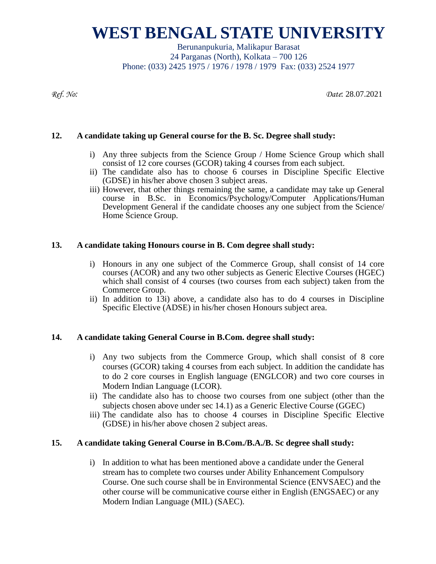Berunanpukuria, Malikapur Barasat 24 Parganas (North), Kolkata – 700 126 Phone: (033) 2425 1975 / 1976 / 1978 / 1979 Fax: (033) 2524 1977

*Ref. No: Date*: 28.07.2021

#### **12. A candidate taking up General course for the B. Sc. Degree shall study:**

- i) Any three subjects from the Science Group / Home Science Group which shall consist of 12 core courses (GCOR) taking 4 courses from each subject.
- ii) The candidate also has to choose 6 courses in Discipline Specific Elective (GDSE) in his/her above chosen 3 subject areas.
- iii) However, that other things remaining the same, a candidate may take up General course in B.Sc. in Economics/Psychology/Computer Applications/Human Development General if the candidate chooses any one subject from the Science/ Home Science Group.

#### **13. A candidate taking Honours course in B. Com degree shall study:**

- i) Honours in any one subject of the Commerce Group, shall consist of 14 core courses (ACOR) and any two other subjects as Generic Elective Courses (HGEC) which shall consist of 4 courses (two courses from each subject) taken from the Commerce Group.
- ii) In addition to 13i) above, a candidate also has to do 4 courses in Discipline Specific Elective (ADSE) in his/her chosen Honours subject area.

#### **14. A candidate taking General Course in B.Com. degree shall study:**

- i) Any two subjects from the Commerce Group, which shall consist of 8 core courses (GCOR) taking 4 courses from each subject. In addition the candidate has to do 2 core courses in English language (ENGLCOR) and two core courses in Modern Indian Language (LCOR).
- ii) The candidate also has to choose two courses from one subject (other than the subjects chosen above under sec 14.1) as a Generic Elective Course (GGEC)
- iii) The candidate also has to choose 4 courses in Discipline Specific Elective (GDSE) in his/her above chosen 2 subject areas.

#### **15. A candidate taking General Course in B.Com./B.A./B. Sc degree shall study:**

i) In addition to what has been mentioned above a candidate under the General stream has to complete two courses under Ability Enhancement Compulsory Course. One such course shall be in Environmental Science (ENVSAEC) and the other course will be communicative course either in English (ENGSAEC) or any Modern Indian Language (MIL) (SAEC).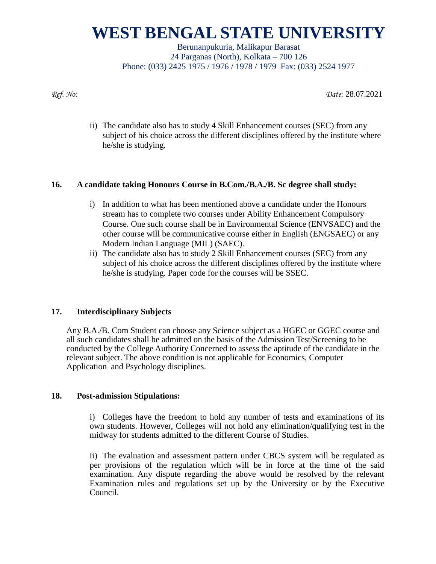Berunanpukuria, Malikapur Barasat 24 Parganas (North), Kolkata – 700 126 Phone: (033) 2425 1975 / 1976 / 1978 / 1979 Fax: (033) 2524 1977

*Ref. No: Date*: 28.07.2021

ii) The candidate also has to study 4 Skill Enhancement courses (SEC) from any subject of his choice across the different disciplines offered by the institute where he/she is studying.

### **16. A candidate taking Honours Course in B.Com./B.A./B. Sc degree shall study:**

- i) In addition to what has been mentioned above a candidate under the Honours stream has to complete two courses under Ability Enhancement Compulsory Course. One such course shall be in Environmental Science (ENVSAEC) and the other course will be communicative course either in English (ENGSAEC) or any Modern Indian Language (MIL) (SAEC).
- ii) The candidate also has to study 2 Skill Enhancement courses (SEC) from any subject of his choice across the different disciplines offered by the institute where he/she is studying. Paper code for the courses will be SSEC.

### **17. Interdisciplinary Subjects**

Any B.A./B. Com Student can choose any Science subject as a HGEC or GGEC course and all such candidates shall be admitted on the basis of the Admission Test/Screening to be conducted by the College Authority Concerned to assess the aptitude of the candidate in the relevant subject. The above condition is not applicable for Economics, Computer Application and Psychology disciplines.

#### **18. Post-admission Stipulations:**

i) Colleges have the freedom to hold any number of tests and examinations of its own students. However, Colleges will not hold any elimination/qualifying test in the midway for students admitted to the different Course of Studies.

ii) The evaluation and assessment pattern under CBCS system will be regulated as per provisions of the regulation which will be in force at the time of the said examination. Any dispute regarding the above would be resolved by the relevant Examination rules and regulations set up by the University or by the Executive Council.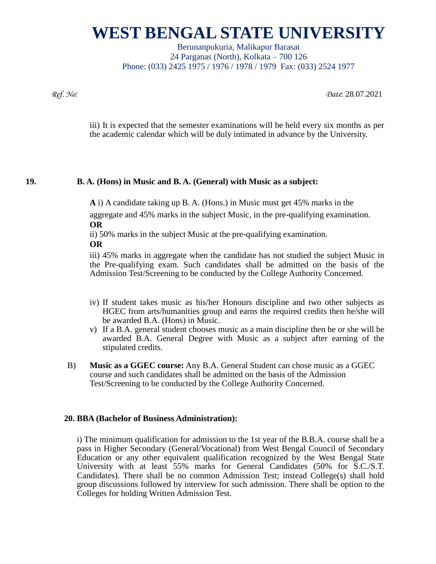Berunanpukuria, Malikapur Barasat 24 Parganas (North), Kolkata – 700 126 Phone: (033) 2425 1975 / 1976 / 1978 / 1979 Fax: (033) 2524 1977

*Ref. No: Date*: 28.07.2021

iii) It is expected that the semester examinations will be held every six months as per the academic calendar which will be duly intimated in advance by the University.

### **19. B. A. (Hons) in Music and B. A. (General) with Music as a subject:**

**A** i) A candidate taking up B. A. (Hons.) in Music must get 45% marks in the

aggregate and 45% marks in the subject Music, in the pre-qualifying examination. **OR**

ii) 50% marks in the subject Music at the pre-qualifying examination.

### **OR**

iii) 45% marks in aggregate when the candidate has not studied the subject Music in the Pre-qualifying exam. Such candidates shall be admitted on the basis of the Admission Test/Screening to be conducted by the College Authority Concerned.

- iv) If student takes music as his/her Honours discipline and two other subjects as HGEC from arts/humanities group and earns the required credits then he/she will be awarded B.A. (Hons) in Music.
- v) If a B.A. general student chooses music as a main discipline then he or she will be awarded B.A. General Degree with Music as a subject after earning of the stipulated credits.
- B) **Music as a GGEC course:** Any B.A. General Student can chose music as a GGEC course and such candidates shall be admitted on the basis of the Admission Test/Screening to be conducted by the College Authority Concerned.

#### **20. BBA (Bachelor of Business Administration):**

i) The minimum qualification for admission to the 1st year of the B.B.A. course shall be a pass in Higher Secondary (General/Vocational) from West Bengal Council of Secondary Education or any other equivalent qualification recognized by the West Bengal State University with at least 55% marks for General Candidates (50% for S.C./S.T. Candidates). There shall be no common Admission Test; instead College(s) shall hold group discussions followed by interview for such admission. There shall be option to the Colleges for holding Written Admission Test.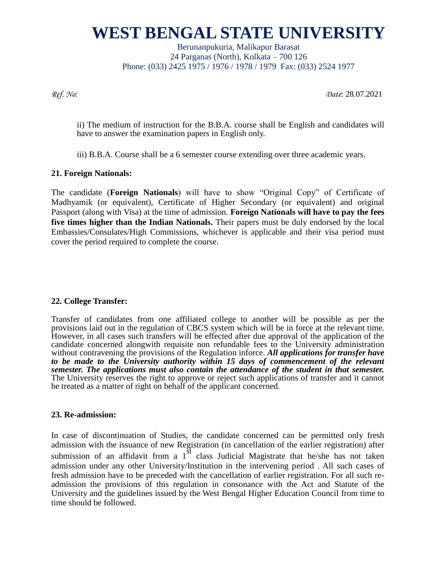Berunanpukuria, Malikapur Barasat 24 Parganas (North), Kolkata – 700 126 Phone: (033) 2425 1975 / 1976 / 1978 / 1979 Fax: (033) 2524 1977

*Ref. No: Date*: 28.07.2021

ii) The medium of instruction for the B.B.A. course shall be English and candidates will have to answer the examination papers in English only.

iii) B.B.A. Course shall be a 6 semester course extending over three academic years.

#### **21. Foreign Nationals:**

The candidate (**Foreign Nationals**) will have to show "Original Copy" of Certificate of Madhyamik (or equivalent), Certificate of Higher Secondary (or equivalent) and original Passport (along with Visa) at the time of admission. **Foreign Nationals will have to pay the fees five times higher than the Indian Nationals.** Their papers must be duly endorsed by the local Embassies/Consulates/High Commissions, whichever is applicable and their visa period must cover the period required to complete the course.

#### **22. College Transfer:**

Transfer of candidates from one affiliated college to another will be possible as per the provisions laid out in the regulation of CBCS system which will be in force at the relevant time. However, in all cases such transfers will be effected after due approval of the application of the candidate concerned alongwith requisite non refundable fees to the University administration without contravening the provisions of the Regulation inforce. *All applications for transfer have*  to be made to the University authority within 15 days of commencement of the relevant *semester. The applications must also contain the attendance of the student in that semester.* The University reserves the right to approve or reject such applications of transfer and it cannot be treated as a matter of right on behalf of the applicant concerned.

#### **23. Re-admission:**

In case of discontinuation of Studies, the candidate concerned can be permitted only fresh admission with the issuance of new Registration (in cancellation of the earlier registration) after submission of an affidavit from a  $1^{\overline{st}}$  class Judicial Magistrate that he/she has not taken admission under any other University/Institution in the intervening period . All such cases of fresh admission have to be preceded with the cancellation of earlier registration. For all such readmission the provisions of this regulation in consonance with the Act and Statute of the University and the guidelines issued by the West Bengal Higher Education Council from time to time should be followed.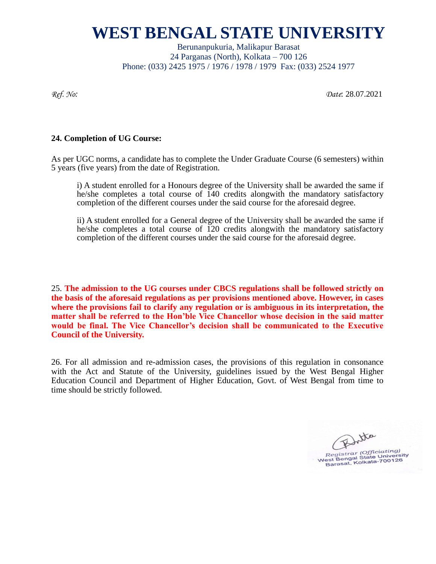Berunanpukuria, Malikapur Barasat 24 Parganas (North), Kolkata – 700 126 Phone: (033) 2425 1975 / 1976 / 1978 / 1979 Fax: (033) 2524 1977

*Ref. No: Date*: 28.07.2021

#### **24. Completion of UG Course:**

As per UGC norms, a candidate has to complete the Under Graduate Course (6 semesters) within 5 years (five years) from the date of Registration.

i) A student enrolled for a Honours degree of the University shall be awarded the same if he/she completes a total course of 140 credits alongwith the mandatory satisfactory completion of the different courses under the said course for the aforesaid degree.

ii) A student enrolled for a General degree of the University shall be awarded the same if he/she completes a total course of 120 credits alongwith the mandatory satisfactory completion of the different courses under the said course for the aforesaid degree.

25. **The admission to the UG courses under CBCS regulations shall be followed strictly on the basis of the aforesaid regulations as per provisions mentioned above. However, in cases where the provisions fail to clarify any regulation or is ambiguous in its interpretation, the matter shall be referred to the Hon'ble Vice Chancellor whose decision in the said matter would be final. The Vice Chancellor's decision shall be communicated to the Executive Council of the University.** 

26. For all admission and re-admission cases, the provisions of this regulation in consonance with the Act and Statute of the University, guidelines issued by the West Bengal Higher Education Council and Department of Higher Education, Govt. of West Bengal from time to time should be strictly followed.

Botta Eegistrar (Officiating)<br>West Bengal State University<br>Barasat, Kolkata-700126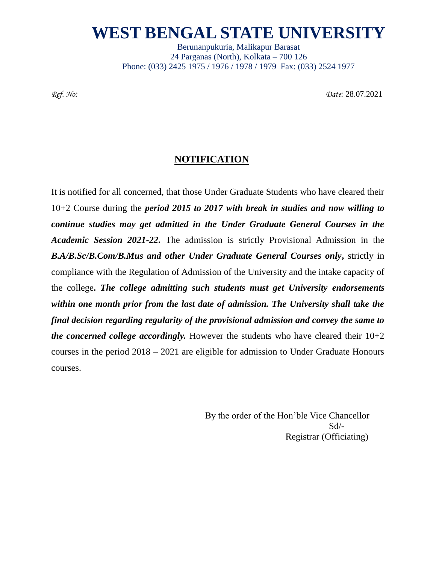Berunanpukuria, Malikapur Barasat 24 Parganas (North), Kolkata – 700 126 Phone: (033) 2425 1975 / 1976 / 1978 / 1979 Fax: (033) 2524 1977

*Ref. No: Date*: 28.07.2021

### **NOTIFICATION**

It is notified for all concerned, that those Under Graduate Students who have cleared their 10+2 Course during the *period 2015 to 2017 with break in studies and now willing to continue studies may get admitted in the Under Graduate General Courses in the Academic Session 2021-22***.** The admission is strictly Provisional Admission in the *B.A/B.Sc/B.Com/B.Mus and other Under Graduate General Courses only***,** strictly in compliance with the Regulation of Admission of the University and the intake capacity of the college**.** *The college admitting such students must get University endorsements within one month prior from the last date of admission. The University shall take the final decision regarding regularity of the provisional admission and convey the same to the concerned college accordingly.* However the students who have cleared their  $10+2$ courses in the period 2018 – 2021 are eligible for admission to Under Graduate Honours courses.

> By the order of the Hon'ble Vice Chancellor  $Sd$ <sup>-</sup> Registrar (Officiating)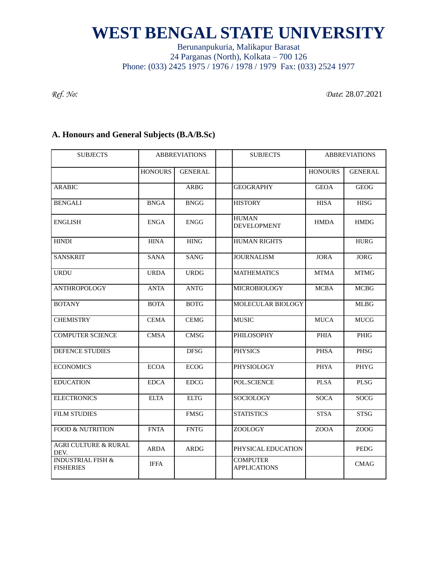### Berunanpukuria, Malikapur Barasat 24 Parganas (North), Kolkata – 700 126 Phone: (033) 2425 1975 / 1976 / 1978 / 1979 Fax: (033) 2524 1977

*Ref. No: Date*: 28.07.2021

### **A. Honours and General Subjects (B.A/B.Sc)**

| <b>SUBJECTS</b>                                  | <b>ABBREVIATIONS</b> |                | <b>SUBJECTS</b>                        | <b>ABBREVIATIONS</b> |                |
|--------------------------------------------------|----------------------|----------------|----------------------------------------|----------------------|----------------|
|                                                  | <b>HONOURS</b>       | <b>GENERAL</b> |                                        | <b>HONOURS</b>       | <b>GENERAL</b> |
| <b>ARABIC</b>                                    |                      | ARBG           | <b>GEOGRAPHY</b>                       | <b>GEOA</b>          | <b>GEOG</b>    |
| <b>BENGALI</b>                                   | <b>BNGA</b>          | <b>BNGG</b>    | <b>HISTORY</b>                         | <b>HISA</b>          | <b>HISG</b>    |
| <b>ENGLISH</b>                                   | <b>ENGA</b>          | <b>ENGG</b>    | <b>HUMAN</b><br><b>DEVELOPMENT</b>     | <b>HMDA</b>          | <b>HMDG</b>    |
| <b>HINDI</b>                                     | <b>HINA</b>          | <b>HING</b>    | <b>HUMAN RIGHTS</b>                    |                      | <b>HURG</b>    |
| <b>SANSKRIT</b>                                  | SANA                 | <b>SANG</b>    | <b>JOURNALISM</b>                      | JORA                 | <b>JORG</b>    |
| <b>URDU</b>                                      | <b>URDA</b>          | <b>URDG</b>    | <b>MATHEMATICS</b>                     | <b>MTMA</b>          | <b>MTMG</b>    |
| <b>ANTHROPOLOGY</b>                              | <b>ANTA</b>          | <b>ANTG</b>    | <b>MICROBIOLOGY</b>                    | <b>MCBA</b>          | <b>MCBG</b>    |
| <b>BOTANY</b>                                    | <b>BOTA</b>          | <b>BOTG</b>    | MOLECULAR BIOLOGY                      |                      | <b>MLBG</b>    |
| <b>CHEMISTRY</b>                                 | <b>CEMA</b>          | <b>CEMG</b>    | <b>MUSIC</b>                           | <b>MUCA</b>          | <b>MUCG</b>    |
| <b>COMPUTER SCIENCE</b>                          | <b>CMSA</b>          | <b>CMSG</b>    | <b>PHILOSOPHY</b>                      | <b>PHIA</b>          | <b>PHIG</b>    |
| DEFENCE STUDIES                                  |                      | <b>DFSG</b>    | <b>PHYSICS</b>                         | <b>PHSA</b>          | PHSG           |
| <b>ECONOMICS</b>                                 | <b>ECOA</b>          | ECOG           | PHYSIOLOGY                             | <b>PHYA</b>          | PHYG           |
| <b>EDUCATION</b>                                 | <b>EDCA</b>          | ${\rm EDCG}$   | POL.SCIENCE                            | <b>PLSA</b>          | <b>PLSG</b>    |
| <b>ELECTRONICS</b>                               | <b>ELTA</b>          | <b>ELTG</b>    | <b>SOCIOLOGY</b>                       | <b>SOCA</b>          | SOCG           |
| <b>FILM STUDIES</b>                              |                      | <b>FMSG</b>    | <b>STATISTICS</b>                      | <b>STSA</b>          | <b>STSG</b>    |
| FOOD & NUTRITION                                 | <b>FNTA</b>          | <b>FNTG</b>    | ZOOLOGY                                | <b>ZOOA</b>          | <b>ZOOG</b>    |
| <b>AGRI CULTURE &amp; RURAL</b><br>DEV.          | <b>ARDA</b>          | <b>ARDG</b>    | PHYSICAL EDUCATION                     |                      | PEDG           |
| <b>INDUSTRIAL FISH &amp;</b><br><b>FISHERIES</b> | <b>IFFA</b>          |                | <b>COMPUTER</b><br><b>APPLICATIONS</b> |                      | <b>CMAG</b>    |